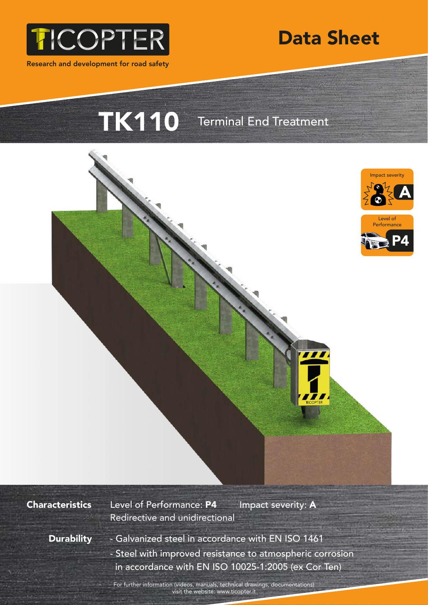

Research and development for road safety



TK110 Terminal End Treatment



**Characteristics** 

Level of Performance: P4 Impact severity: A Redirective and unidirectional

**Durability** 

- Galvanized steel in accordance with EN ISO 1461 - Steel with improved resistance to atmospheric corrosion in accordance with EN ISO 10025-1:2005 (ex Cor Ten)

For further information (videos, manuals, technical drawings, documentations) visit the website: www.ticopter.it